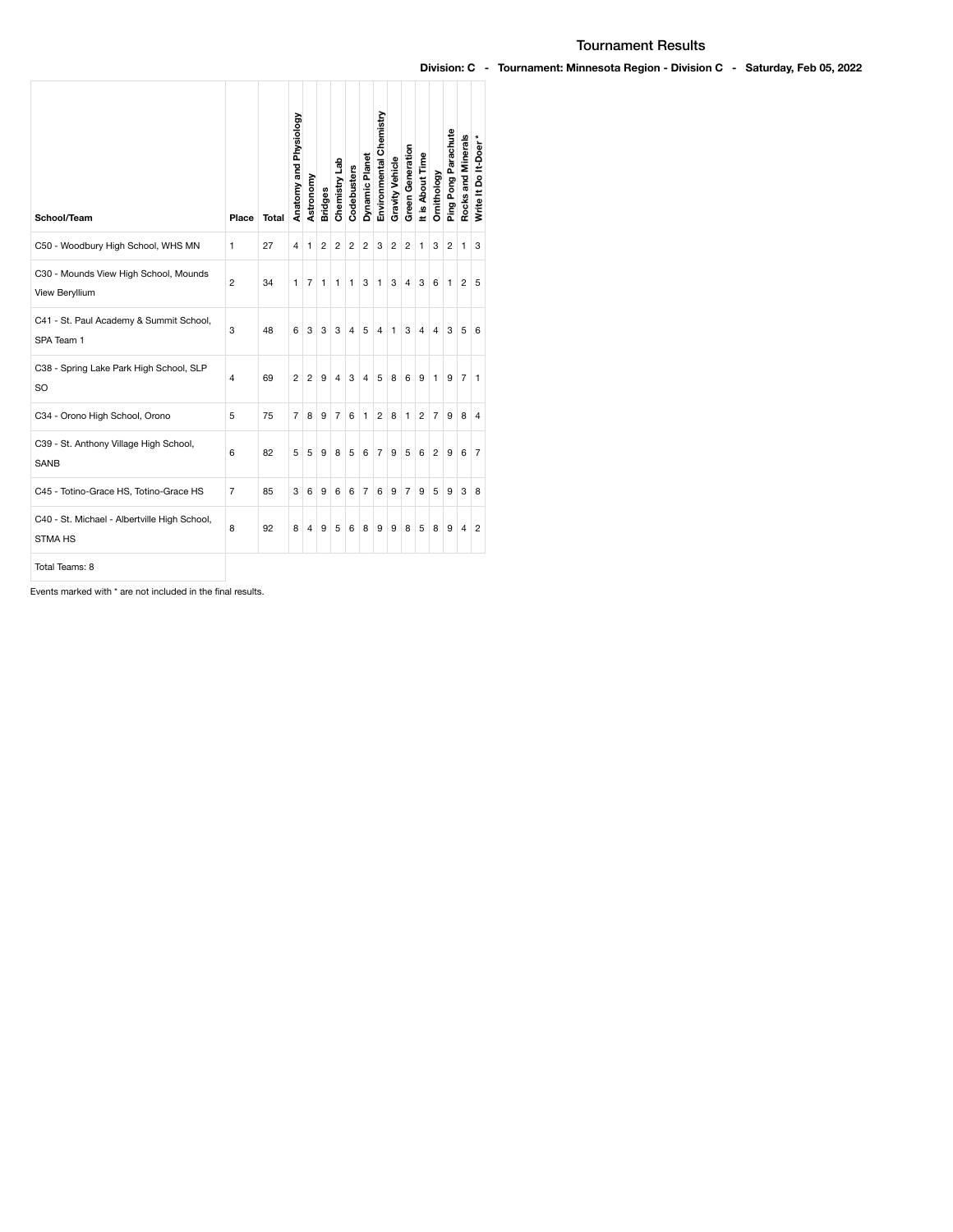| School/Team                                                    | Place | <b>Total</b> | Anatomy and Physiology | Astronomy | <b>Bridges</b> | Chemistry Lab | Codebusters    | Dynamic Planet | Environmental Chemistry | <b>Gravity Vehicle</b> | <b>Green Generation</b> | It is About Time | Ornithology    | Ping Pong Parachute | Rocks and Minerals | ×<br>Write It Do It-Doer |
|----------------------------------------------------------------|-------|--------------|------------------------|-----------|----------------|---------------|----------------|----------------|-------------------------|------------------------|-------------------------|------------------|----------------|---------------------|--------------------|--------------------------|
| C50 - Woodbury High School, WHS MN                             | 1     | 27           | 4                      | 1         | 2              | 2             | $\overline{2}$ | $\overline{2}$ | 3                       | $\overline{2}$         | 2                       | 1                | 3              | $\overline{2}$      | 1                  | 3                        |
| C30 - Mounds View High School, Mounds<br>View Beryllium        | 2     | 34           | 1                      | 7         | 1              | 1             | 1              | 3              | 1                       | 3                      | 4                       | 3                | 6              | 1                   | 2                  | 5                        |
| C41 - St. Paul Academy & Summit School,<br>SPA Team 1          | 3     | 48           | 6                      | 3         | 3              | 3             | 4              | 5              | 4                       | 1                      | 3                       | 4                | 4              | 3                   | 5                  | 6                        |
| C38 - Spring Lake Park High School, SLP<br><b>SO</b>           | 4     | 69           | 2                      | 2         | 9              | 4             | 3              | 4              | 5                       | 8                      | 6                       | 9                | 1              | 9                   | $\overline{7}$     | 1                        |
| C34 - Orono High School, Orono                                 | 5     | 75           | 7                      | 8         | 9              | 7             | 6              | 1              | 2                       | 8                      | 1                       | 2                | $\overline{7}$ | 9                   | 8                  | 4                        |
| C39 - St. Anthony Village High School,<br><b>SANB</b>          | 6     | 82           | 5                      | 5         | 9              | 8             | 5              | 6              | $\overline{7}$          | 9                      | 5                       | 6                | $\overline{2}$ | 9                   | 6                  | 7                        |
| C45 - Totino-Grace HS, Totino-Grace HS                         | 7     | 85           | 3                      | 6         | 9              | 6             | 6              | $\overline{7}$ | 6                       | 9                      | 7                       | 9                | 5              | 9                   | 3                  | 8                        |
| C40 - St. Michael - Albertville High School,<br><b>STMA HS</b> | 8     | 92           | 8                      | 4         | 9              | 5             | 6              | 8              | 9                       | 9                      | 8                       | 5                | 8              | 9                   | 4                  | 2                        |
| Total Teams: 8                                                 |       |              |                        |           |                |               |                |                |                         |                        |                         |                  |                |                     |                    |                          |

Events marked with \* are not included in the final results.

## Tournament Results

## Division: C - Tournament: Minnesota Region - Division C - Saturday, Feb 05, 2022